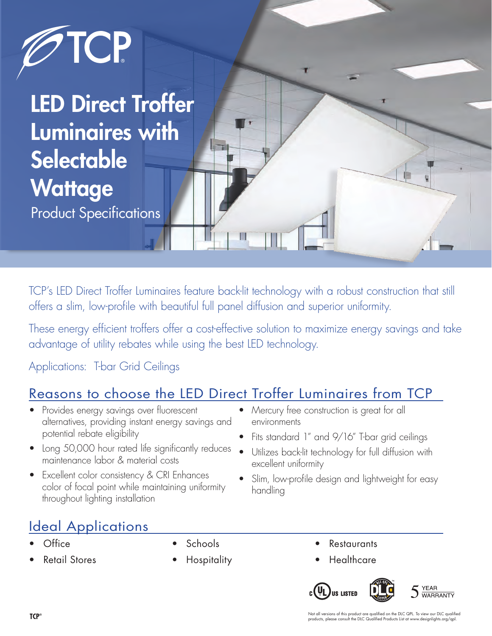

TCP's LED Direct Troffer Luminaires feature back-lit technology with a robust construction that still offers a slim, low-profile with beautiful full panel diffusion and superior uniformity.

These energy efficient troffers offer a cost-effective solution to maximize energy savings and take advantage of utility rebates while using the best LED technology.

Applications: T-bar Grid Ceilings

# Reasons to choose the LED Direct Troffer Luminaires from TCP

- Provides energy savings over fluorescent alternatives, providing instant energy savings and potential rebate eligibility
- Long 50,000 hour rated life significantly reduces maintenance labor & material costs
- Excellent color consistency & CRI Enhances color of focal point while maintaining uniformity throughout lighting installation
- Mercury free construction is great for all environments
- Fits standard 1" and 9/16" T-bar grid ceilings
- Utilizes back-lit technology for full diffusion with excellent uniformity
- Slim, low-profile design and lightweight for easy handling

## Ideal Applications

- Office
- Retail Stores
- **Schools**
- **Hospitality**
- **Restaurants**
- Healthcare

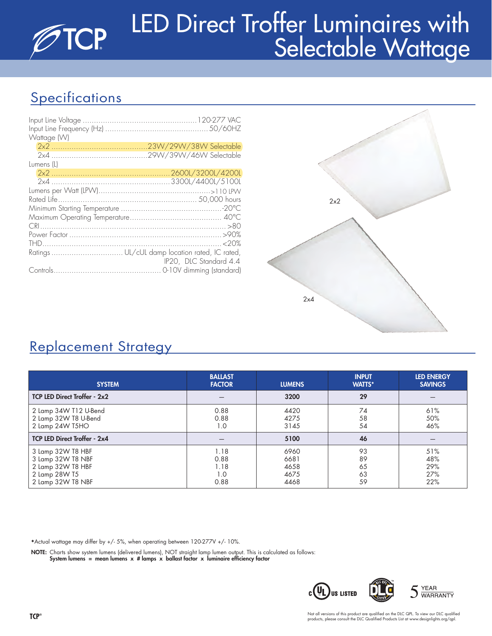# LED Direct Troffer Luminaires with **TCP** Selectable Wattage

# **Specifications**

| Wattage (W) |                        |
|-------------|------------------------|
|             |                        |
|             |                        |
| Lumens (L)  |                        |
|             |                        |
|             |                        |
|             |                        |
|             |                        |
|             |                        |
|             |                        |
|             |                        |
|             |                        |
|             |                        |
|             | IP20, DLC Standard 4.4 |
|             |                        |



# Replacement Strategy

| <b>SYSTEM</b>                                                                                     | <b>BALLAST</b><br><b>FACTOR</b>     | <b>LUMENS</b>                        | <b>INPUT</b><br><b>WATTS*</b> | <b>LED ENERGY</b><br><b>SAVINGS</b> |  |  |
|---------------------------------------------------------------------------------------------------|-------------------------------------|--------------------------------------|-------------------------------|-------------------------------------|--|--|
| <b>TCP LED Direct Troffer - 2x2</b>                                                               |                                     | 3200                                 | 29                            |                                     |  |  |
| 2 Lamp 34W T12 U-Bend<br>2 Lamp 32W T8 U-Bend<br>2 Lamp 24W T5HO                                  | 0.88<br>0.88<br>1.0                 | 4420<br>4275<br>3145                 | 74<br>58<br>54                | 61%<br>50%<br>46%                   |  |  |
| TCP LED Direct Troffer - 2x4                                                                      |                                     | 5100                                 | 46                            |                                     |  |  |
| 3 Lamp 32W T8 HBF<br>3 Lamp 32W T8 NBF<br>2 Lamp 32W T8 HBF<br>2 Lamp 28W T5<br>2 Lamp 32W T8 NBF | 1.18<br>0.88<br>1.18<br>1.0<br>0.88 | 6960<br>6681<br>4658<br>4675<br>4468 | 93<br>89<br>65<br>63<br>59    | 51%<br>48%<br>29%<br>27%<br>22%     |  |  |

\*Actual wattage may differ by +/- 5%, when operating between 120-277V +/- 10%.

NOTE: Charts show system lumens (delivered lumens), NOT straight lamp lumen output. This is calculated as follows:

System lumens = mean lumens  $x$  # lamps  $x$  ballast factor  $x$  luminaire efficiency factor

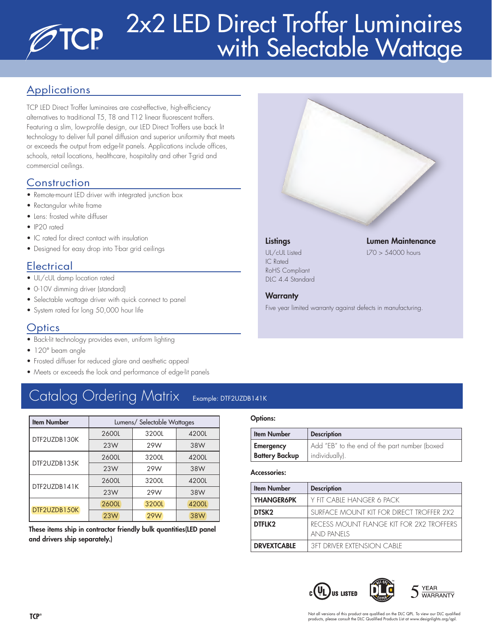# 2x2 LED Direct Troffer Luminaires **TCP** with Selectable Wattage

### **Applications**

TCP LED Direct Troffer luminaires are cost-effective, high-efficiency alternatives to traditional T5, T8 and T12 linear fluorescent troffers. Featuring a slim, low-profile design, our LED Direct Troffers use back lit technology to deliver full panel diffusion and superior uniformity that meets or exceeds the output from edge-lit panels. Applications include offices, schools, retail locations, healthcare, hospitality and other T-grid and commercial ceilings.

### **Construction**

- Remote-mount LED driver with integrated junction box
- Rectangular white frame
- Lens: frosted white diffuser
- IP20 rated
- IC rated for direct contact with insulation
- Designed for easy drop into T-bar grid ceilings

### **Electrical**

- UL/cUL damp location rated
- 0-10V dimming driver (standard)
- Selectable wattage driver with quick connect to panel
- System rated for long 50,000 hour life

### **Optics**

- Back-lit technology provides even, uniform lighting
- 120° beam angle
- Frosted diffuser for reduced glare and aesthetic appeal
- Meets or exceeds the look and performance of edge-lit panels

# Catalog Ordering Matrix Example: DTF2UZDB141K

| <b>Item Number</b> | Lumens/ Selectable Wattages |       |       |  |  |  |  |
|--------------------|-----------------------------|-------|-------|--|--|--|--|
| DTF2UZDB130K       | 2600L                       | 3200L | 4200L |  |  |  |  |
|                    | 23W                         | 29W   | 38W   |  |  |  |  |
| DTF2UZDB135K       | 2600L                       | 3200L | 4200L |  |  |  |  |
|                    | 23W                         | 29W   | 38W   |  |  |  |  |
| DTF2UZDB141K       | 2600L                       | 3200L | 4200L |  |  |  |  |
|                    | 23W                         | 29W   | 38W   |  |  |  |  |
| DTF2UZDB150K       | 2600L                       | 3200L | 4200L |  |  |  |  |
|                    | 23W                         | 29W   | 38W   |  |  |  |  |

These items ship in contractor friendly bulk quantities(LED panel and drivers ship separately.)

#### Options:

| <b>Item Number</b>    | <b>Description</b>                            |
|-----------------------|-----------------------------------------------|
| <b>Emergency</b>      | Add "EB" to the end of the part number (boxed |
| <b>Battery Backup</b> | individually).                                |

Five year limited warranty against defects in manufacturing.

#### Accessories:

| <b>Item Number</b> | <b>Description</b>                                            |
|--------------------|---------------------------------------------------------------|
| <b>YHANGER6PK</b>  | Y FIT CABLE HANGER 6 PACK                                     |
| DTSK <sub>2</sub>  | SURFACE MOUNT KIT FOR DIRECT TROFFER 2X2                      |
| DTFLK2             | RECESS MOUNT FLANGE KIT FOR 2X2 TROFFERS<br><b>AND PANFIS</b> |
| <b>DRVEXTCABLE</b> | <b>3FT DRIVER EXTENSION CABLE</b>                             |

 $c(U_L)$ us Listed **YEAR WARRANTY** 



Not all versions of this product are qualified on the DLC QPL. To view our DLC qualified products, please consult the DLC Qualified Products List at www.designlights.org/qpl.



UL/cUL Listed L70 > 54000 hours IC Rated RoHS Compliant DLC 4.4 Standard

**Warranty** 

### Listings Lumen Maintenance